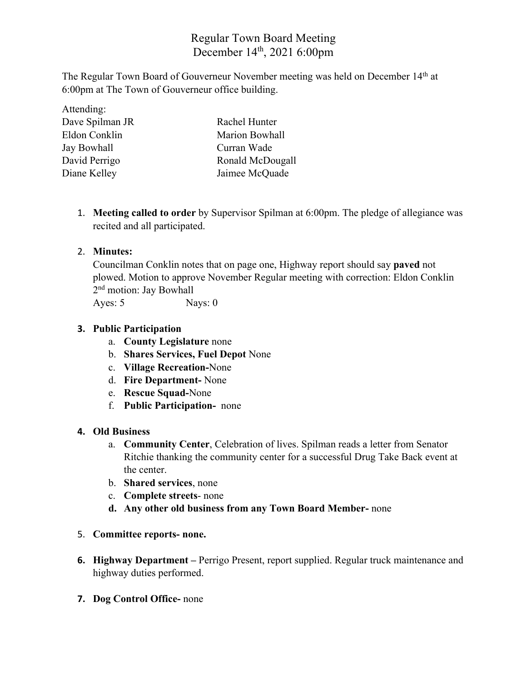# Regular Town Board Meeting December 14<sup>th</sup>, 2021 6:00pm

The Regular Town Board of Gouverneur November meeting was held on December 14th at 6:00pm at The Town of Gouverneur office building.

| Rachel Hunter    |
|------------------|
| Marion Bowhall   |
| Curran Wade      |
| Ronald McDougall |
| Jaimee McQuade   |
|                  |

1. **Meeting called to order** by Supervisor Spilman at 6:00pm. The pledge of allegiance was recited and all participated.

# 2. **Minutes:**

Councilman Conklin notes that on page one, Highway report should say **paved** not plowed. Motion to approve November Regular meeting with correction: Eldon Conklin 2nd motion: Jay Bowhall

Ayes: 5 Nays: 0

# **3. Public Participation**

- a. **County Legislature** none
- b. **Shares Services, Fuel Depot** None
- c. **Village Recreation-**None
- d. **Fire Department-** None
- e. **Rescue Squad-**None
- f. **Public Participation-** none

### **4. Old Business**

- a. **Community Center**, Celebration of lives. Spilman reads a letter from Senator Ritchie thanking the community center for a successful Drug Take Back event at the center.
- b. **Shared services**, none
- c. **Complete streets** none
- **d. Any other old business from any Town Board Member-** none
- 5. **Committee reports- none.**
- **6. Highway Department –** Perrigo Present, report supplied. Regular truck maintenance and highway duties performed.
- **7. Dog Control Office-** none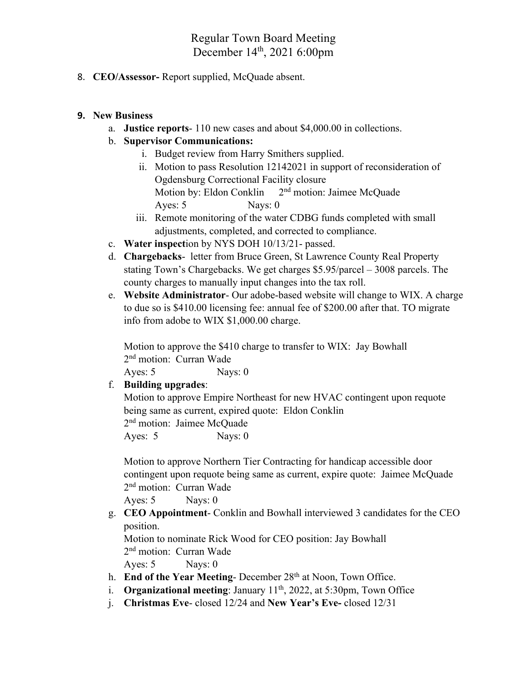Regular Town Board Meeting December 14<sup>th</sup>, 2021 6:00pm

8. **CEO/Assessor-** Report supplied, McQuade absent.

#### **9. New Business**

- a. **Justice reports** 110 new cases and about \$4,000.00 in collections.
- b. **Supervisor Communications:**
	- i. Budget review from Harry Smithers supplied.
	- ii. Motion to pass Resolution 12142021 in support of reconsideration of Ogdensburg Correctional Facility closure Motion by: Eldon Conklin 2<sup>nd</sup> motion: Jaimee McQuade Ayes: 5 Nays: 0
	- iii. Remote monitoring of the water CDBG funds completed with small adjustments, completed, and corrected to compliance.
- c. **Water inspect**ion by NYS DOH 10/13/21- passed.
- d. **Chargebacks** letter from Bruce Green, St Lawrence County Real Property stating Town's Chargebacks. We get charges \$5.95/parcel – 3008 parcels. The county charges to manually input changes into the tax roll.
- e. **Website Administrator** Our adobe-based website will change to WIX. A charge to due so is \$410.00 licensing fee: annual fee of \$200.00 after that. TO migrate info from adobe to WIX \$1,000.00 charge.

Motion to approve the \$410 charge to transfer to WIX: Jay Bowhall 2nd motion: Curran Wade Ayes: 5 Nays: 0

f. **Building upgrades**:

Motion to approve Empire Northeast for new HVAC contingent upon requote being same as current, expired quote: Eldon Conklin 2nd motion: Jaimee McQuade

Ayes: 5 Nays: 0

Motion to approve Northern Tier Contracting for handicap accessible door contingent upon requote being same as current, expire quote: Jaimee McQuade 2nd motion: Curran Wade

Ayes: 5 Nays: 0

g. **CEO Appointment**- Conklin and Bowhall interviewed 3 candidates for the CEO position.

Motion to nominate Rick Wood for CEO position: Jay Bowhall 2nd motion: Curran Wade

Ayes: 5 Nays: 0

- h. **End of the Year Meeting-** December 28<sup>th</sup> at Noon, Town Office.
- i. **Organizational meeting**: January 11<sup>th</sup>, 2022, at 5:30pm, Town Office
- j. **Christmas Eve** closed 12/24 and **New Year's Eve-** closed 12/31